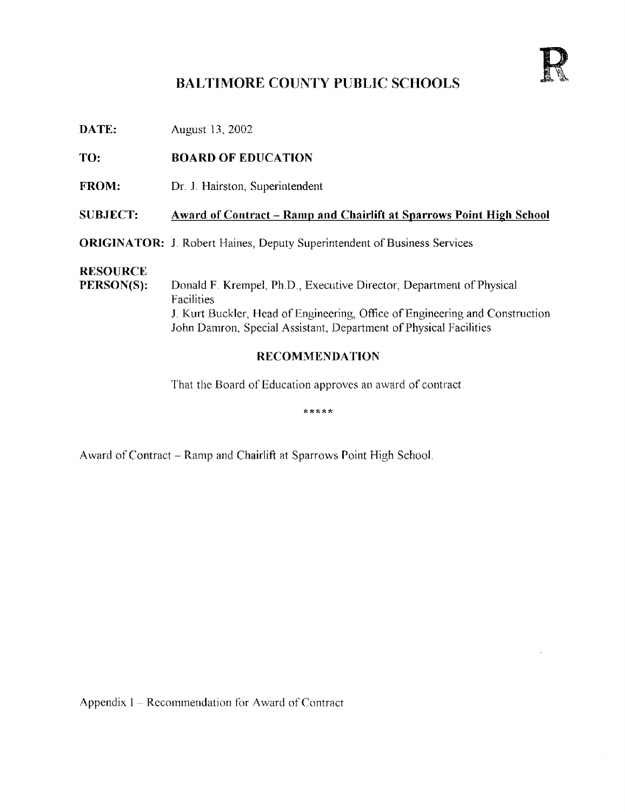# BALTIMORE COUNTY PUBLIC SCHOOLS

**DATE:** August 13, 2002

### TO: BOARD OF EDUCATION

FROM: Dr. J. Hairston, Superintendent

### SUBJECT: Award of Contract - Ramp and Chairlift at Sparrows Point High School

ORIGINATOR: J. Robert Haines, Deputy Superintendent of Business Services

# RESOURCE<br>PERSON(S):

Donald F. Krempel, Ph.D., Executive Director, Department of Physical Facilities J. Kurt Buckler, Head of Engineering, Office of Engineering and Construction John Damron, Special Assistant, Department of Physical Facilities

### RECOMMENDATION

That the Board of Education approves an award of contract

\*\*\*\*\*

Award of Contract - Ramp and Chairlift at Sparrows Point High School.

Appendix  $1 -$  Recommendation for Award of Contract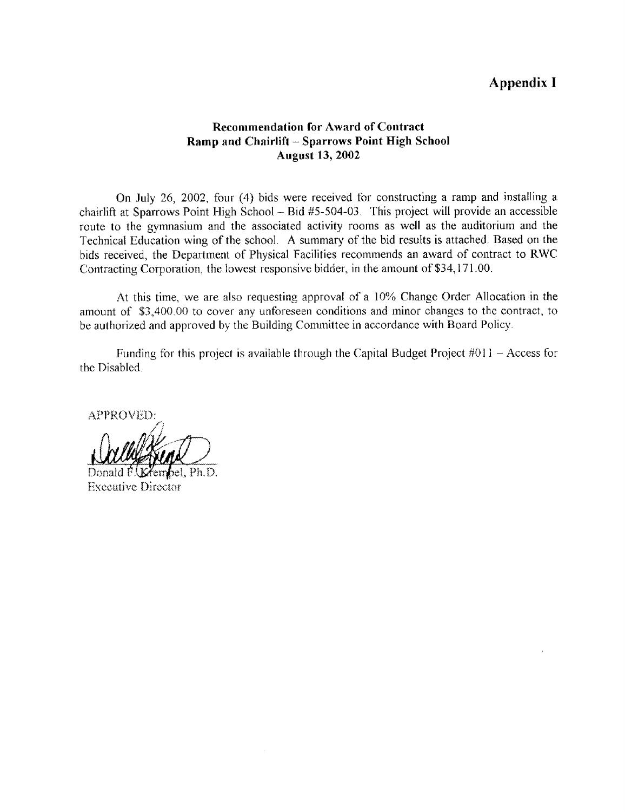## Appendix <sup>I</sup>

#### Recommendation for Award of Contract Ramp and Chairlift - Sparrows Point High School August 13, 2002

On July 26, 2002, four (4) bids were received for constructing a ramp and installing a chairlift at Sparrows Point High School - Bid #5-504-03 . This project will provide an accessible route to the gymnasium and the associated activity rooms as well as the auditorium and the Technical Education wing of the school . A summary of the bid results is attached . Based on the bids received, the Department of Physical Facilities recommends an award of contract to RWC Contracting Corporation, the lowest responsive bidder, in the amount of \$34,171 .00.

At this time, we are also requesting approval of a 10% Change Order Allocation in the amount of \$3,400 .00 to cover any unforeseen conditions and minor changes to the contract, to be authorized and approved by the Building Committee in accordance with Board Policy .

Funding for this project is available through the Capital Budget Project #011 - Access for the Disabled.

APPROVED:

Donald F.*Ik* Xembel, Ph.D. **Executive Director**